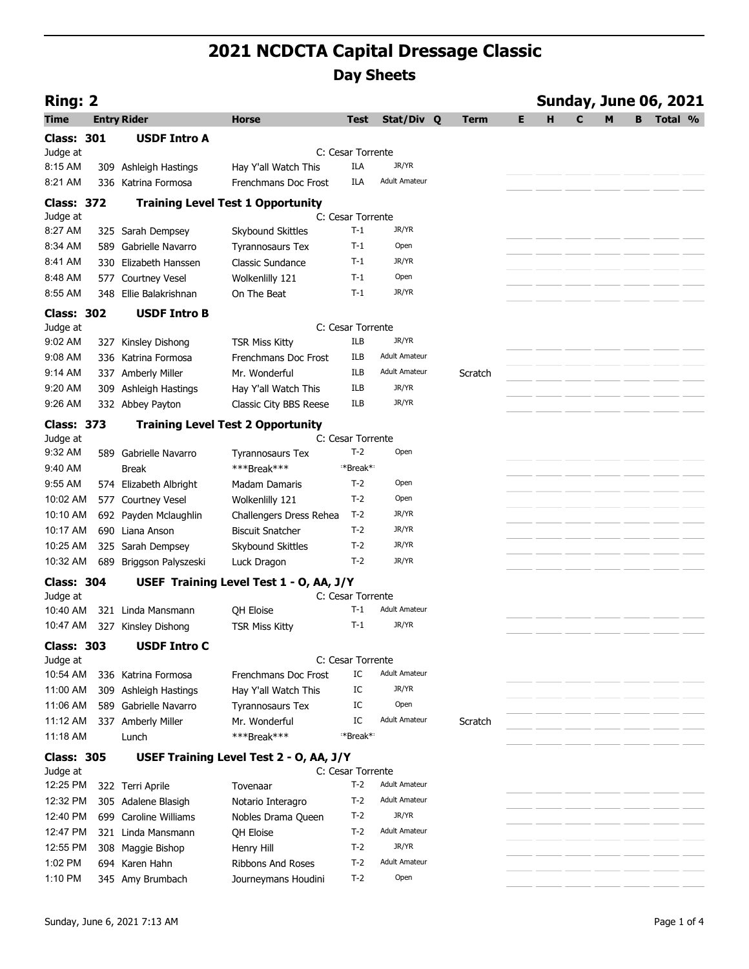|                                |                                                       | <b>2021 NCDCTA Capital Dressage Classic</b> |                            |                               |             |    |                              |
|--------------------------------|-------------------------------------------------------|---------------------------------------------|----------------------------|-------------------------------|-------------|----|------------------------------|
|                                |                                                       |                                             |                            | <b>Day Sheets</b>             |             |    |                              |
| <b>Ring: 2</b>                 |                                                       |                                             |                            |                               |             |    | <b>Sunday, June 06, 2021</b> |
| Time                           | <b>Entry Rider</b>                                    | <b>Horse</b>                                | Test                       | Stat/Div Q                    | <b>Term</b> | Е. | <b>B</b> Total %<br>M<br>C   |
| <b>Class: 301</b>              | <b>USDF Intro A</b>                                   |                                             |                            |                               |             |    |                              |
| Judge at                       |                                                       |                                             | C: Cesar Torrente          |                               |             |    |                              |
| 8:15 AM                        | 309 Ashleigh Hastings                                 | Hay Y'all Watch This                        | ILA                        | JR/YR                         |             |    |                              |
| 8:21 AM                        | 336 Katrina Formosa                                   | Frenchmans Doc Frost                        | ILA                        | <b>Adult Amateur</b>          |             |    |                              |
| <b>Class: 372</b>              |                                                       | <b>Training Level Test 1 Opportunity</b>    |                            |                               |             |    |                              |
| Judge at<br>8:27 AM            | 325 Sarah Dempsey                                     | Skybound Skittles                           | C: Cesar Torrente<br>$T-1$ | JR/YR                         |             |    |                              |
| 8:34 AM                        | 589 Gabrielle Navarro                                 | <b>Tyrannosaurs Tex</b>                     | $T-1$                      | Open                          |             |    |                              |
| 8:41 AM                        | 330 Elizabeth Hanssen                                 | Classic Sundance                            | $T-1$                      | JR/YR                         |             |    |                              |
| 8:48 AM                        | 577 Courtney Vesel                                    | Wolkenlilly 121                             | $T-1$                      | Open                          |             |    |                              |
| 8:55 AM                        | 348 Ellie Balakrishnan                                | On The Beat                                 | $T-1$                      | JR/YR                         |             |    |                              |
| <b>Class: 302</b>              | <b>USDF Intro B</b>                                   |                                             |                            |                               |             |    |                              |
| Judge at                       |                                                       |                                             | C: Cesar Torrente          |                               |             |    |                              |
| 9:02 AM                        | 327 Kinsley Dishong                                   | <b>TSR Miss Kitty</b>                       | ILB                        | JR/YR                         |             |    |                              |
| $9:08$ AM                      | 336 Katrina Formosa                                   | Frenchmans Doc Frost                        | ILB                        | Adult Amateur                 |             |    |                              |
| $9:14 \, \text{AM}$<br>9:20 AM | 337 Amberly Miller<br>309 Ashleigh Hastings           | Mr. Wonderful<br>Hay Y'all Watch This       | ILB<br>ILB                 | <b>Adult Amateur</b><br>JR/YR | Scratch     |    |                              |
| 9:26 AM                        | 332 Abbey Payton                                      | Classic City BBS Reese                      | ILB                        | JR/YR                         |             |    |                              |
| <b>Class: 373</b>              |                                                       | <b>Training Level Test 2 Opportunity</b>    |                            |                               |             |    |                              |
| Judge at                       |                                                       |                                             | C: Cesar Torrente          |                               |             |    |                              |
| 9:32 AM                        | 589 Gabrielle Navarro                                 | Tyrannosaurs Tex                            | $T-2$                      | Open                          |             |    |                              |
| 9:40 AM                        | <b>Break</b>                                          | ***Break***                                 | *Break*                    |                               |             |    |                              |
| 9:55 AM                        | 574 Elizabeth Albright                                | Madam Damaris                               | $T-2$                      | Open                          |             |    |                              |
| 10:02 AM                       | 577 Courtney Vesel                                    | Wolkenlilly 121                             | $T-2$                      | Open                          |             |    |                              |
| 10:10 AM                       | 692 Payden Mclaughlin                                 | Challengers Dress Rehea                     | T-2                        | JR/YR                         |             |    |                              |
| 10:17 AM                       | 690 Liana Anson                                       | <b>Biscuit Snatcher</b>                     | $T-2$<br>$T-2$             | JR/YR<br>JR/YR                |             |    |                              |
| 10:25 AM                       | 325 Sarah Dempsey<br>10:32 AM 689 Briggson Palyszeski | Skybound Skittles<br>Luck Dragon            | $T-2$                      | JR/YR                         |             |    |                              |
|                                |                                                       |                                             |                            |                               |             |    |                              |
| <b>Class: 304</b><br>Judge at  |                                                       | USEF Training Level Test 1 - O, AA, J/Y     | C: Cesar Torrente          |                               |             |    |                              |
| 10:40 AM                       | 321 Linda Mansmann                                    | QH Eloise                                   | $T-1$                      | <b>Adult Amateur</b>          |             |    |                              |
|                                | 10:47 AM 327 Kinsley Dishong                          | TSR Miss Kitty                              | $T-1$                      | JR/YR                         |             |    |                              |
| <b>Class: 303</b>              | <b>USDF Intro C</b>                                   |                                             |                            |                               |             |    |                              |
| Judge at                       |                                                       |                                             | C: Cesar Torrente          |                               |             |    |                              |
| 10:54 AM                       | 336 Katrina Formosa                                   | Frenchmans Doc Frost                        | IC                         | <b>Adult Amateur</b>          |             |    |                              |
| 11:00 AM                       | 309 Ashleigh Hastings                                 | Hay Y'all Watch This                        | IC                         | JR/YR                         |             |    |                              |
| 11:06 AM                       | 589 Gabrielle Navarro                                 | Tyrannosaurs Tex                            | IC                         | Open                          |             |    |                              |
| 11:12 AM                       | 337 Amberly Miller                                    | Mr. Wonderful                               | IC                         | <b>Adult Amateur</b>          | Scratch     |    |                              |
| 11:18 AM                       | Lunch                                                 | ***Break***                                 | *Break*                    |                               |             |    |                              |
| <b>Class: 305</b>              |                                                       | USEF Training Level Test 2 - O, AA, J/Y     | C: Cesar Torrente          |                               |             |    |                              |
| Judge at                       | 12:25 PM 322 Terri Aprile                             | Tovenaar                                    | $T-2$                      | <b>Adult Amateur</b>          |             |    |                              |
| 12:32 PM                       | 305 Adalene Blasigh                                   | Notario Interagro                           | T-2                        | <b>Adult Amateur</b>          |             |    |                              |
| 12:40 PM                       | 699 Caroline Williams                                 | Nobles Drama Queen                          | $T-2$                      | JR/YR                         |             |    |                              |
| 12:47 PM                       | 321 Linda Mansmann                                    | QH Eloise                                   | $T-2$                      | Adult Amateur                 |             |    |                              |
| 12:55 PM                       | 308 Maggie Bishop                                     | Henry Hill                                  | $T-2$                      | JR/YR                         |             |    |                              |
| 1:02 PM                        | 694 Karen Hahn                                        | Ribbons And Roses                           | $T-2$                      | Adult Amateur                 |             |    |                              |
| 1:10 PM                        | 345 Amy Brumbach                                      | Journeymans Houdini                         | $T-2$                      | Open                          |             |    |                              |
|                                |                                                       |                                             |                            |                               |             |    |                              |
|                                | Sunday, June 6, 2021 7:13 AM                          |                                             |                            |                               |             |    | Page 1 of 4                  |
|                                |                                                       |                                             |                            |                               |             |    |                              |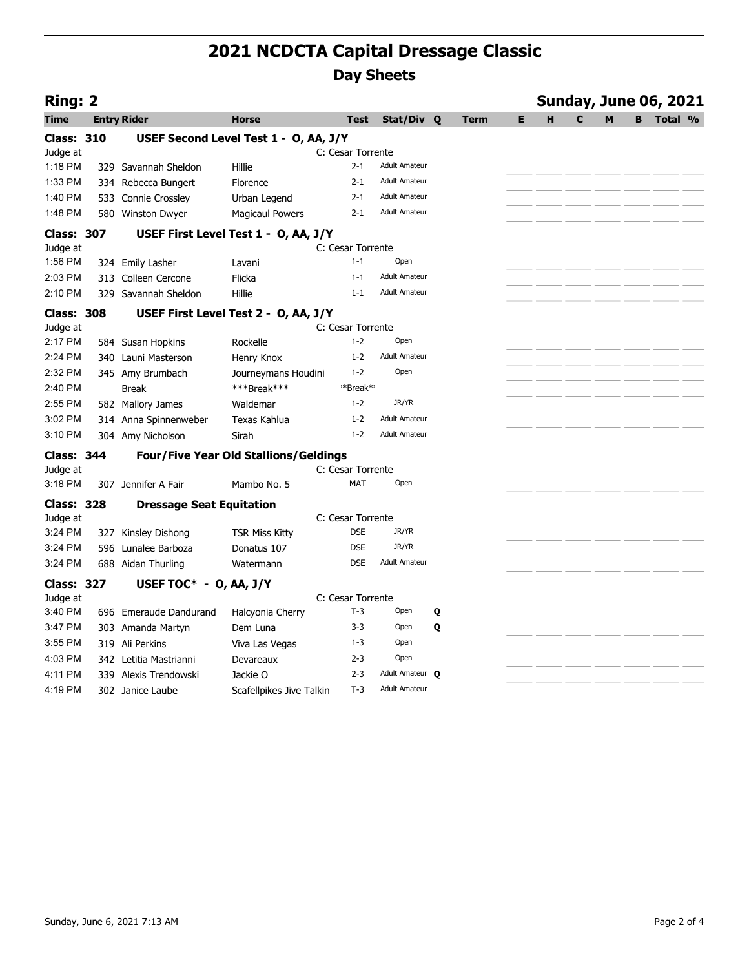|                               |                                            | <b>2021 NCDCTA Capital Dressage Classic</b>           |                              |                                         |             |                                                                            |  |
|-------------------------------|--------------------------------------------|-------------------------------------------------------|------------------------------|-----------------------------------------|-------------|----------------------------------------------------------------------------|--|
|                               |                                            |                                                       |                              | <b>Day Sheets</b>                       |             |                                                                            |  |
| <b>Ring: 2</b>                |                                            |                                                       |                              | Stat/Div Q                              | E.          | <b>Sunday, June 06, 2021</b><br><b>B</b> Total %<br>н<br>$\mathbf{C}$<br>M |  |
| Time<br><b>Class: 310</b>     | <b>Entry Rider</b>                         | <b>Horse</b><br>USEF Second Level Test 1 - O, AA, J/Y | Test                         |                                         | <b>Term</b> |                                                                            |  |
| Judge at                      |                                            |                                                       | C: Cesar Torrente            |                                         |             |                                                                            |  |
| 1:18 PM                       | 329 Savannah Sheldon                       | Hillie                                                | $2 - 1$                      | <b>Adult Amateur</b>                    |             |                                                                            |  |
| 1:33 PM                       | 334 Rebecca Bungert                        | Florence                                              | $2 - 1$                      | <b>Adult Amateur</b>                    |             |                                                                            |  |
| 1:40 PM                       | 533 Connie Crossley                        | Urban Legend                                          | $2 - 1$                      | <b>Adult Amateur</b>                    |             |                                                                            |  |
| 1:48 PM                       | 580 Winston Dwyer                          | <b>Magicaul Powers</b>                                | 2-1                          | <b>Adult Amateur</b>                    |             |                                                                            |  |
| <b>Class: 307</b>             |                                            | USEF First Level Test 1 - O, AA, J/Y                  |                              |                                         |             |                                                                            |  |
| Judge at                      |                                            |                                                       | C: Cesar Torrente<br>$1 - 1$ | Open                                    |             |                                                                            |  |
| 1:56 PM<br>2:03 PM            | 324 Emily Lasher<br>313 Colleen Cercone    | Lavani<br>Flicka                                      | $1 - 1$                      | <b>Adult Amateur</b>                    |             |                                                                            |  |
| 2:10 PM                       | 329 Savannah Sheldon                       | Hillie                                                | $1 - 1$                      | <b>Adult Amateur</b>                    |             |                                                                            |  |
| <b>Class: 308</b>             |                                            | USEF First Level Test 2 - O, AA, J/Y                  |                              |                                         |             |                                                                            |  |
| Judge at                      |                                            |                                                       | C: Cesar Torrente            |                                         |             |                                                                            |  |
| 2:17 PM                       | 584 Susan Hopkins                          | Rockelle                                              | $1 - 2$                      | Open                                    |             |                                                                            |  |
| 2:24 PM                       | 340 Launi Masterson                        | Henry Knox                                            | $1 - 2$                      | <b>Adult Amateur</b>                    |             |                                                                            |  |
| 2:32 PM                       | 345 Amy Brumbach                           | Journeymans Houdini                                   | $1 - 2$                      | Open                                    |             |                                                                            |  |
| 2:40 PM                       | <b>Break</b>                               | ***Break***                                           | *Break*                      |                                         |             |                                                                            |  |
| 2:55 PM                       | 582 Mallory James                          | Waldemar                                              | $1 - 2$                      | JR/YR<br><b>Adult Amateur</b>           |             |                                                                            |  |
| 3:02 PM<br>3:10 PM            | 314 Anna Spinnenweber<br>304 Amy Nicholson | Texas Kahlua                                          | $1 - 2$<br>$1 - 2$           | <b>Adult Amateur</b>                    |             |                                                                            |  |
|                               |                                            | Sirah                                                 |                              |                                         |             |                                                                            |  |
| <b>Class: 344</b>             |                                            | <b>Four/Five Year Old Stallions/Geldings</b>          |                              |                                         |             |                                                                            |  |
| Judge at<br>3:18 PM           | 307 Jennifer A Fair                        | Mambo No. 5                                           | C: Cesar Torrente<br>MAT     | Open                                    |             |                                                                            |  |
|                               |                                            |                                                       |                              |                                         |             |                                                                            |  |
| <b>Class: 328</b><br>Judge at | <b>Dressage Seat Equitation</b>            |                                                       | C: Cesar Torrente            |                                         |             |                                                                            |  |
| 3:24 PM                       | 327 Kinsley Dishong                        | <b>TSR Miss Kitty</b>                                 | <b>DSE</b>                   | JR/YR                                   |             |                                                                            |  |
| 3:24 PM                       | 596 Lunalee Barboza                        | Donatus 107                                           | <b>DSE</b>                   | JR/YR                                   |             |                                                                            |  |
| 3:24 PM                       | 688 Aidan Thurling                         | Watermann                                             | <b>DSE</b>                   | <b>Adult Amateur</b>                    |             |                                                                            |  |
| <b>Class: 327</b>             | USEF TOC* - O, AA, J/Y                     |                                                       |                              |                                         |             |                                                                            |  |
| Judge at                      |                                            |                                                       | C: Cesar Torrente            |                                         |             |                                                                            |  |
| 3:40 PM                       | 696 Emeraude Dandurand                     | Halcyonia Cherry                                      | $T-3$                        | Open<br>Q                               |             |                                                                            |  |
| 3:47 PM                       | 303 Amanda Martyn                          | Dem Luna                                              | $3 - 3$                      | Open<br>Q                               |             |                                                                            |  |
| 3:55 PM                       | 319 Ali Perkins                            | Viva Las Vegas                                        | $1 - 3$                      | Open                                    |             |                                                                            |  |
| 4:03 PM                       | 342 Letitia Mastrianni                     | Devareaux                                             | $2 - 3$                      | Open                                    |             |                                                                            |  |
| 4:11 PM<br>4:19 PM            | 339 Alexis Trendowski                      | Jackie O                                              | 2-3                          | Adult Amateur Q<br><b>Adult Amateur</b> |             |                                                                            |  |
|                               | 302 Janice Laube                           | Scafellpikes Jive Talkin                              | $T-3$                        |                                         |             |                                                                            |  |
|                               |                                            |                                                       |                              |                                         |             |                                                                            |  |
|                               |                                            |                                                       |                              |                                         |             |                                                                            |  |
|                               |                                            |                                                       |                              |                                         |             |                                                                            |  |
|                               |                                            |                                                       |                              |                                         |             |                                                                            |  |
|                               |                                            |                                                       |                              |                                         |             |                                                                            |  |
|                               |                                            |                                                       |                              |                                         |             |                                                                            |  |
|                               |                                            |                                                       |                              |                                         |             |                                                                            |  |
|                               |                                            |                                                       |                              |                                         |             |                                                                            |  |
|                               |                                            |                                                       |                              |                                         |             |                                                                            |  |
|                               |                                            |                                                       |                              |                                         |             |                                                                            |  |
|                               |                                            |                                                       |                              |                                         |             |                                                                            |  |
|                               |                                            |                                                       |                              |                                         |             |                                                                            |  |
|                               | Sunday, June 6, 2021 7:13 AM               |                                                       |                              |                                         |             | Page 2 of 4                                                                |  |
|                               |                                            |                                                       |                              |                                         |             |                                                                            |  |
|                               |                                            |                                                       |                              |                                         |             |                                                                            |  |
|                               |                                            |                                                       |                              |                                         |             |                                                                            |  |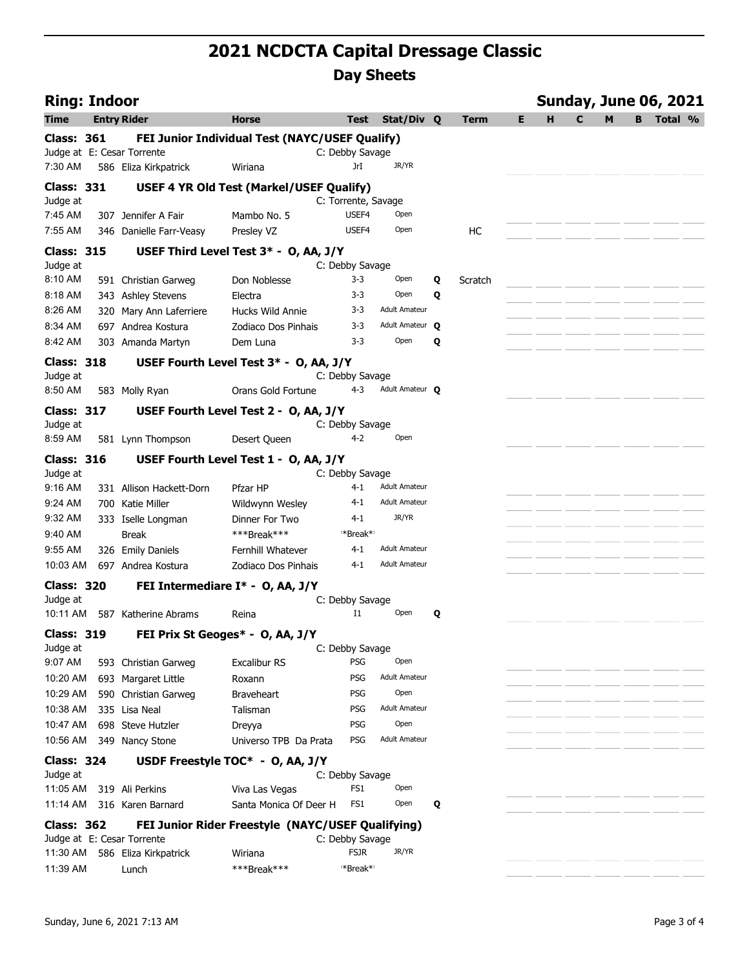| <b>Ring: Indoor</b><br><b>Entry Rider</b><br>Judge at E: Cesar Torrente<br>586 Eliza Kirkpatrick<br>307 Jennifer A Fair<br>346 Danielle Farr-Veasy<br>591 Christian Garweg<br>343 Ashley Stevens<br>320 Mary Ann Laferriere<br>697 Andrea Kostura<br>303 Amanda Martyn<br>583 Molly Ryan<br>USEF Fourth Level Test 2 - O, AA, J/Y<br>581 Lynn Thompson | <b>Horse</b><br>FEI Junior Individual Test (NAYC/USEF Qualify)<br>Wiriana<br>USEF 4 YR Old Test (Markel/USEF Qualify)<br>Mambo No. 5<br>Presley VZ<br>USEF Third Level Test 3* - O, AA, J/Y<br>Don Noblesse<br>Electra<br>Hucks Wild Annie<br>Zodiaco Dos Pinhais<br>Dem Luna<br>USEF Fourth Level Test 3* - O, AA, J/Y<br>Orans Gold Fortune | <b>Test</b><br>C: Debby Savage<br>JrI<br>C: Torrente, Savage<br>USEF4<br>USEF4<br>C: Debby Savage<br>3-3<br>$3 - 3$<br>3-3<br>3-3<br>3-3<br>C: Debby Savage | <b>Day Sheets</b><br>Stat/Div Q<br>JR/YR<br>Open<br>Open<br>Open<br>Q<br>Open<br>Q<br><b>Adult Amateur</b><br>Adult Amateur Q | Term<br>HC<br>Scratch                                                                                                       |  | <b>Sunday, June 06, 2021</b><br><b>B</b> Total % |             |
|--------------------------------------------------------------------------------------------------------------------------------------------------------------------------------------------------------------------------------------------------------------------------------------------------------------------------------------------------------|-----------------------------------------------------------------------------------------------------------------------------------------------------------------------------------------------------------------------------------------------------------------------------------------------------------------------------------------------|-------------------------------------------------------------------------------------------------------------------------------------------------------------|-------------------------------------------------------------------------------------------------------------------------------|-----------------------------------------------------------------------------------------------------------------------------|--|--------------------------------------------------|-------------|
|                                                                                                                                                                                                                                                                                                                                                        |                                                                                                                                                                                                                                                                                                                                               |                                                                                                                                                             |                                                                                                                               |                                                                                                                             |  |                                                  |             |
|                                                                                                                                                                                                                                                                                                                                                        |                                                                                                                                                                                                                                                                                                                                               |                                                                                                                                                             |                                                                                                                               |                                                                                                                             |  |                                                  |             |
|                                                                                                                                                                                                                                                                                                                                                        |                                                                                                                                                                                                                                                                                                                                               |                                                                                                                                                             |                                                                                                                               |                                                                                                                             |  |                                                  |             |
|                                                                                                                                                                                                                                                                                                                                                        |                                                                                                                                                                                                                                                                                                                                               |                                                                                                                                                             |                                                                                                                               |                                                                                                                             |  |                                                  |             |
|                                                                                                                                                                                                                                                                                                                                                        |                                                                                                                                                                                                                                                                                                                                               |                                                                                                                                                             |                                                                                                                               |                                                                                                                             |  |                                                  |             |
|                                                                                                                                                                                                                                                                                                                                                        |                                                                                                                                                                                                                                                                                                                                               |                                                                                                                                                             |                                                                                                                               |                                                                                                                             |  |                                                  |             |
|                                                                                                                                                                                                                                                                                                                                                        |                                                                                                                                                                                                                                                                                                                                               |                                                                                                                                                             |                                                                                                                               |                                                                                                                             |  |                                                  |             |
|                                                                                                                                                                                                                                                                                                                                                        |                                                                                                                                                                                                                                                                                                                                               |                                                                                                                                                             |                                                                                                                               |                                                                                                                             |  |                                                  |             |
|                                                                                                                                                                                                                                                                                                                                                        |                                                                                                                                                                                                                                                                                                                                               |                                                                                                                                                             |                                                                                                                               |                                                                                                                             |  |                                                  |             |
|                                                                                                                                                                                                                                                                                                                                                        |                                                                                                                                                                                                                                                                                                                                               |                                                                                                                                                             |                                                                                                                               |                                                                                                                             |  |                                                  |             |
|                                                                                                                                                                                                                                                                                                                                                        |                                                                                                                                                                                                                                                                                                                                               |                                                                                                                                                             |                                                                                                                               |                                                                                                                             |  |                                                  |             |
|                                                                                                                                                                                                                                                                                                                                                        |                                                                                                                                                                                                                                                                                                                                               |                                                                                                                                                             |                                                                                                                               |                                                                                                                             |  |                                                  |             |
|                                                                                                                                                                                                                                                                                                                                                        |                                                                                                                                                                                                                                                                                                                                               |                                                                                                                                                             | Open<br>Q                                                                                                                     |                                                                                                                             |  |                                                  |             |
|                                                                                                                                                                                                                                                                                                                                                        |                                                                                                                                                                                                                                                                                                                                               |                                                                                                                                                             |                                                                                                                               |                                                                                                                             |  |                                                  |             |
|                                                                                                                                                                                                                                                                                                                                                        |                                                                                                                                                                                                                                                                                                                                               |                                                                                                                                                             |                                                                                                                               |                                                                                                                             |  |                                                  |             |
|                                                                                                                                                                                                                                                                                                                                                        |                                                                                                                                                                                                                                                                                                                                               |                                                                                                                                                             | 4-3 Adult Amateur Q                                                                                                           |                                                                                                                             |  |                                                  |             |
|                                                                                                                                                                                                                                                                                                                                                        |                                                                                                                                                                                                                                                                                                                                               |                                                                                                                                                             |                                                                                                                               |                                                                                                                             |  |                                                  |             |
|                                                                                                                                                                                                                                                                                                                                                        | Desert Queen                                                                                                                                                                                                                                                                                                                                  | C: Debby Savage<br>$4 - 2$                                                                                                                                  | Open                                                                                                                          |                                                                                                                             |  |                                                  |             |
|                                                                                                                                                                                                                                                                                                                                                        | USEF Fourth Level Test 1 - O, AA, J/Y                                                                                                                                                                                                                                                                                                         |                                                                                                                                                             |                                                                                                                               |                                                                                                                             |  |                                                  |             |
|                                                                                                                                                                                                                                                                                                                                                        |                                                                                                                                                                                                                                                                                                                                               | C: Debby Savage                                                                                                                                             |                                                                                                                               |                                                                                                                             |  |                                                  |             |
| 331 Allison Hackett-Dorn                                                                                                                                                                                                                                                                                                                               | Pfzar HP                                                                                                                                                                                                                                                                                                                                      | $4 - 1$                                                                                                                                                     | <b>Adult Amateur</b>                                                                                                          |                                                                                                                             |  |                                                  |             |
| 700 Katie Miller                                                                                                                                                                                                                                                                                                                                       | Wildwynn Wesley                                                                                                                                                                                                                                                                                                                               | 4-1<br>$4 - 1$                                                                                                                                              | <b>Adult Amateur</b><br>JR/YR                                                                                                 |                                                                                                                             |  |                                                  |             |
| 333 Iselle Longman<br><b>Break</b>                                                                                                                                                                                                                                                                                                                     | Dinner For Two<br>***Break***                                                                                                                                                                                                                                                                                                                 | *Break*                                                                                                                                                     |                                                                                                                               |                                                                                                                             |  |                                                  |             |
| 326 Emily Daniels                                                                                                                                                                                                                                                                                                                                      | Fernhill Whatever                                                                                                                                                                                                                                                                                                                             | $4 - 1$                                                                                                                                                     | <b>Adult Amateur</b>                                                                                                          |                                                                                                                             |  |                                                  |             |
| 10:03 AM 697 Andrea Kostura                                                                                                                                                                                                                                                                                                                            | Zodiaco Dos Pinhais                                                                                                                                                                                                                                                                                                                           | 4-1                                                                                                                                                         | <b>Adult Amateur</b>                                                                                                          |                                                                                                                             |  |                                                  |             |
|                                                                                                                                                                                                                                                                                                                                                        | FEI Intermediare I* - O, AA, J/Y                                                                                                                                                                                                                                                                                                              |                                                                                                                                                             |                                                                                                                               |                                                                                                                             |  |                                                  |             |
|                                                                                                                                                                                                                                                                                                                                                        |                                                                                                                                                                                                                                                                                                                                               | C: Debby Savage                                                                                                                                             |                                                                                                                               |                                                                                                                             |  |                                                  |             |
| 10:11 AM 587 Katherine Abrams                                                                                                                                                                                                                                                                                                                          | Reina                                                                                                                                                                                                                                                                                                                                         | $_{\rm I1}$                                                                                                                                                 | Open<br>Q                                                                                                                     |                                                                                                                             |  |                                                  |             |
|                                                                                                                                                                                                                                                                                                                                                        |                                                                                                                                                                                                                                                                                                                                               |                                                                                                                                                             |                                                                                                                               |                                                                                                                             |  |                                                  |             |
| 593 Christian Garweg                                                                                                                                                                                                                                                                                                                                   | Excalibur RS                                                                                                                                                                                                                                                                                                                                  | PSG                                                                                                                                                         | Open                                                                                                                          |                                                                                                                             |  |                                                  |             |
| 693 Margaret Little                                                                                                                                                                                                                                                                                                                                    | Roxann                                                                                                                                                                                                                                                                                                                                        | PSG                                                                                                                                                         | <b>Adult Amateur</b>                                                                                                          |                                                                                                                             |  |                                                  |             |
| 10:29 AM 590 Christian Garweg                                                                                                                                                                                                                                                                                                                          | <b>Braveheart</b>                                                                                                                                                                                                                                                                                                                             | PSG                                                                                                                                                         | Open                                                                                                                          |                                                                                                                             |  |                                                  |             |
| 10:38 AM 335 Lisa Neal                                                                                                                                                                                                                                                                                                                                 | Talisman                                                                                                                                                                                                                                                                                                                                      | PSG                                                                                                                                                         | <b>Adult Amateur</b>                                                                                                          |                                                                                                                             |  |                                                  |             |
|                                                                                                                                                                                                                                                                                                                                                        |                                                                                                                                                                                                                                                                                                                                               |                                                                                                                                                             | <b>Adult Amateur</b>                                                                                                          |                                                                                                                             |  |                                                  |             |
|                                                                                                                                                                                                                                                                                                                                                        |                                                                                                                                                                                                                                                                                                                                               |                                                                                                                                                             |                                                                                                                               |                                                                                                                             |  |                                                  |             |
|                                                                                                                                                                                                                                                                                                                                                        |                                                                                                                                                                                                                                                                                                                                               |                                                                                                                                                             |                                                                                                                               |                                                                                                                             |  |                                                  |             |
| 11:05 AM 319 Ali Perkins                                                                                                                                                                                                                                                                                                                               | Viva Las Vegas                                                                                                                                                                                                                                                                                                                                | FS1                                                                                                                                                         | Open                                                                                                                          |                                                                                                                             |  |                                                  |             |
| 11:14 AM 316 Karen Barnard                                                                                                                                                                                                                                                                                                                             |                                                                                                                                                                                                                                                                                                                                               |                                                                                                                                                             | Open<br>Q                                                                                                                     |                                                                                                                             |  |                                                  |             |
|                                                                                                                                                                                                                                                                                                                                                        |                                                                                                                                                                                                                                                                                                                                               |                                                                                                                                                             |                                                                                                                               |                                                                                                                             |  |                                                  |             |
|                                                                                                                                                                                                                                                                                                                                                        |                                                                                                                                                                                                                                                                                                                                               |                                                                                                                                                             |                                                                                                                               |                                                                                                                             |  |                                                  |             |
| Lunch                                                                                                                                                                                                                                                                                                                                                  | ***Break***                                                                                                                                                                                                                                                                                                                                   | *Break*                                                                                                                                                     |                                                                                                                               |                                                                                                                             |  |                                                  |             |
|                                                                                                                                                                                                                                                                                                                                                        |                                                                                                                                                                                                                                                                                                                                               |                                                                                                                                                             |                                                                                                                               |                                                                                                                             |  |                                                  |             |
|                                                                                                                                                                                                                                                                                                                                                        |                                                                                                                                                                                                                                                                                                                                               |                                                                                                                                                             |                                                                                                                               |                                                                                                                             |  |                                                  |             |
| Sunday, June 6, 2021 7:13 AM                                                                                                                                                                                                                                                                                                                           |                                                                                                                                                                                                                                                                                                                                               |                                                                                                                                                             |                                                                                                                               |                                                                                                                             |  |                                                  | Page 3 of 4 |
|                                                                                                                                                                                                                                                                                                                                                        | 10:47 AM 698 Steve Hutzler<br>10:56 AM 349 Nancy Stone<br>Judge at E: Cesar Torrente<br>11:30 AM 586 Eliza Kirkpatrick                                                                                                                                                                                                                        | FEI Prix St Geoges* - O, AA, J/Y<br>Dreyya<br>Wiriana                                                                                                       | PSG<br>Universo TPB Da Prata<br>PSG<br>USDF Freestyle TOC* - O, AA, J/Y<br>Santa Monica Of Deer H FS1<br><b>FSJR</b>          | C: Debby Savage<br>Open<br>C: Debby Savage<br>FEI Junior Rider Freestyle (NAYC/USEF Qualifying)<br>C: Debby Savage<br>JR/YR |  |                                                  |             |